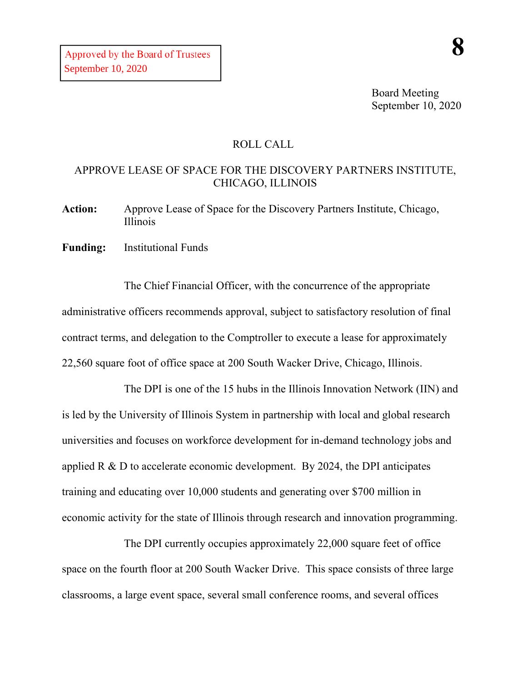Board Meeting September 10, 2020

## ROLL CALL

## APPROVE LEASE OF SPACE FOR THE DISCOVERY PARTNERS INSTITUTE, CHICAGO, ILLINOIS

**Action:** Approve Lease of Space for the Discovery Partners Institute, Chicago, Illinois

**Funding:** Institutional Funds

The Chief Financial Officer, with the concurrence of the appropriate administrative officers recommends approval, subject to satisfactory resolution of final contract terms, and delegation to the Comptroller to execute a lease for approximately 22,560 square foot of office space at 200 South Wacker Drive, Chicago, Illinois.

The DPI is one of the 15 hubs in the Illinois Innovation Network (IIN) and is led by the University of Illinois System in partnership with local and global research universities and focuses on workforce development for in-demand technology jobs and applied R & D to accelerate economic development. By 2024, the DPI anticipates training and educating over 10,000 students and generating over \$700 million in economic activity for the state of Illinois through research and innovation programming.

The DPI currently occupies approximately 22,000 square feet of office space on the fourth floor at 200 South Wacker Drive. This space consists of three large classrooms, a large event space, several small conference rooms, and several offices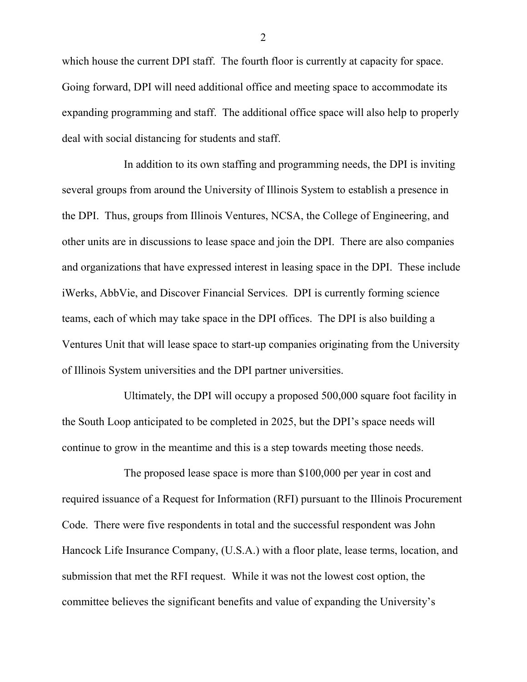which house the current DPI staff. The fourth floor is currently at capacity for space. Going forward, DPI will need additional office and meeting space to accommodate its expanding programming and staff. The additional office space will also help to properly deal with social distancing for students and staff.

In addition to its own staffing and programming needs, the DPI is inviting several groups from around the University of Illinois System to establish a presence in the DPI. Thus, groups from Illinois Ventures, NCSA, the College of Engineering, and other units are in discussions to lease space and join the DPI. There are also companies and organizations that have expressed interest in leasing space in the DPI. These include iWerks, AbbVie, and Discover Financial Services. DPI is currently forming science teams, each of which may take space in the DPI offices. The DPI is also building a Ventures Unit that will lease space to start-up companies originating from the University of Illinois System universities and the DPI partner universities.

Ultimately, the DPI will occupy a proposed 500,000 square foot facility in the South Loop anticipated to be completed in 2025, but the DPI's space needs will continue to grow in the meantime and this is a step towards meeting those needs.

The proposed lease space is more than \$100,000 per year in cost and required issuance of a Request for Information (RFI) pursuant to the Illinois Procurement Code. There were five respondents in total and the successful respondent was John Hancock Life Insurance Company, (U.S.A.) with a floor plate, lease terms, location, and submission that met the RFI request. While it was not the lowest cost option, the committee believes the significant benefits and value of expanding the University's

2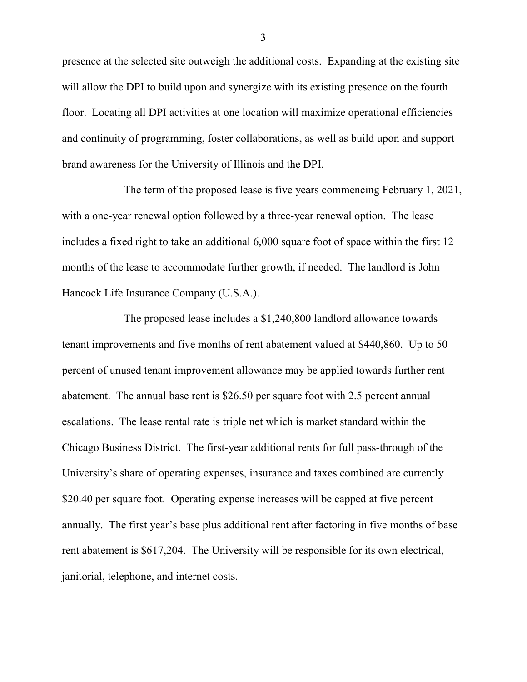presence at the selected site outweigh the additional costs. Expanding at the existing site will allow the DPI to build upon and synergize with its existing presence on the fourth floor. Locating all DPI activities at one location will maximize operational efficiencies and continuity of programming, foster collaborations, as well as build upon and support brand awareness for the University of Illinois and the DPI.

The term of the proposed lease is five years commencing February 1, 2021, with a one-year renewal option followed by a three-year renewal option. The lease includes a fixed right to take an additional 6,000 square foot of space within the first 12 months of the lease to accommodate further growth, if needed. The landlord is John Hancock Life Insurance Company (U.S.A.).

The proposed lease includes a \$1,240,800 landlord allowance towards tenant improvements and five months of rent abatement valued at \$440,860. Up to 50 percent of unused tenant improvement allowance may be applied towards further rent abatement. The annual base rent is \$26.50 per square foot with 2.5 percent annual escalations. The lease rental rate is triple net which is market standard within the Chicago Business District. The first-year additional rents for full pass-through of the University's share of operating expenses, insurance and taxes combined are currently \$20.40 per square foot. Operating expense increases will be capped at five percent annually. The first year's base plus additional rent after factoring in five months of base rent abatement is \$617,204. The University will be responsible for its own electrical, janitorial, telephone, and internet costs.

3